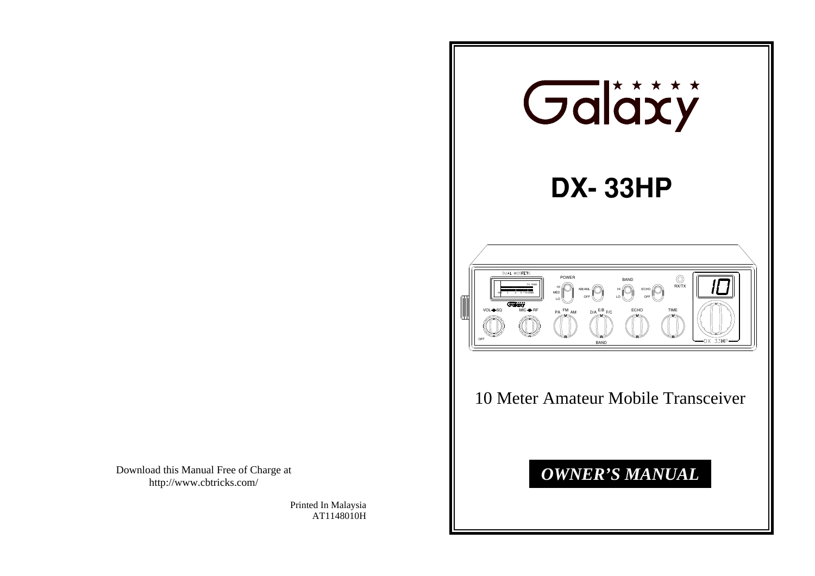Download this Manual Free of Charge at http://www.cbtricks.com/

> Printed In Malaysia AT1148010H

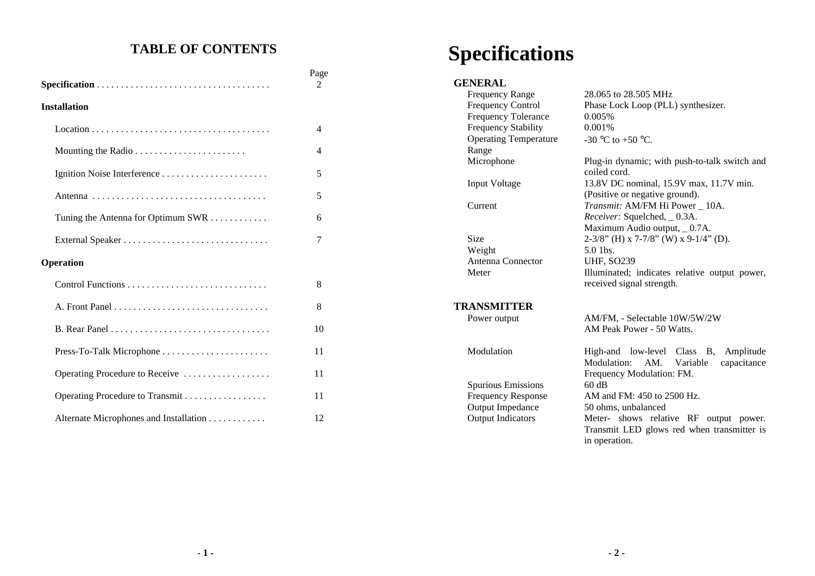### **TABLE OF CONTENTS**

|                                        | Page<br>2 |
|----------------------------------------|-----------|
| <b>Installation</b>                    |           |
|                                        | 4         |
|                                        | 4         |
|                                        | 5         |
|                                        | 5         |
| Tuning the Antenna for Optimum SWR     | 6         |
|                                        | 7         |
| Operation                              |           |
|                                        | 8         |
|                                        | 8         |
|                                        | 10        |
| Press-To-Talk Microphone               | 11        |
| Operating Procedure to Receive         | 11        |
| Operating Procedure to Transmit        | 11        |
| Alternate Microphones and Installation | 12        |

# **Specifications**

## **GENERAL**<br>Frequency

| <b>Frequency Range</b>       | 28,065 to 28,505 MHz                                                       |  |
|------------------------------|----------------------------------------------------------------------------|--|
| Frequency Control            | Phase Lock Loop (PLL) synthesizer.                                         |  |
| <b>Frequency Tolerance</b>   | 0.005%                                                                     |  |
| <b>Frequency Stability</b>   | 0.001%                                                                     |  |
| <b>Operating Temperature</b> | -30 °C to +50 °C.                                                          |  |
| Range                        |                                                                            |  |
| Microphone                   | Plug-in dynamic; with push-to-talk switch and<br>coiled cord.              |  |
| <b>Input Voltage</b>         | 13.8V DC nominal, 15.9V max, 11.7V min.                                    |  |
|                              | (Positive or negative ground).                                             |  |
| Current                      | Transmit: AM/FM Hi Power 10A.                                              |  |
|                              | Receiver: Squelched, _0.3A.                                                |  |
|                              | Maximum Audio output, _0.7A.                                               |  |
| Size                         | 2-3/8" (H) x 7-7/8" (W) x 9-1/4" (D).                                      |  |
| Weight                       | $5.0$ 1bs.                                                                 |  |
| Antenna Connector            | <b>UHF, SO239</b>                                                          |  |
| Meter                        | Illuminated; indicates relative output power,<br>received signal strength. |  |
| <b>TRANSMITTER</b>           |                                                                            |  |
| Power output                 | AM/FM, - Selectable 10W/5W/2W                                              |  |
|                              | AM Peak Power - 50 Watts.                                                  |  |
| Modulation                   | High-and low-level Class B,<br>Amplitude                                   |  |
|                              | Modulation:<br>AM.<br>capacitance<br>Variable                              |  |
|                              | Frequency Modulation: FM.                                                  |  |
| <b>Spurious Emissions</b>    | 60 dB                                                                      |  |
| <b>Frequency Response</b>    | AM and FM: 450 to 2500 Hz.                                                 |  |
| Output Impedance             | 50 ohms, unbalanced                                                        |  |
| <b>Output Indicators</b>     | Meter- shows relative RF output power.                                     |  |
|                              | Transmit LED glows red when transmitter is                                 |  |
|                              | in operation.                                                              |  |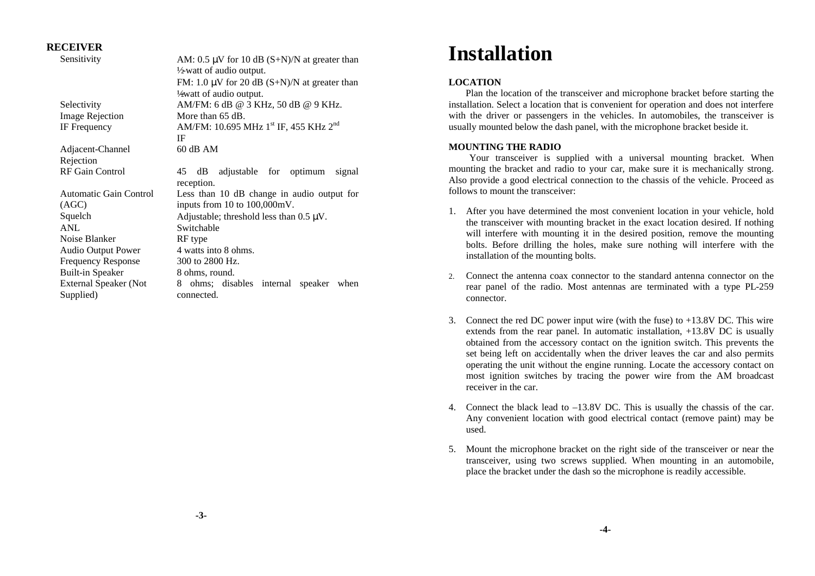#### **RECEIVER**

| Sensitivity               | AM: 0.5 $\mu$ V for 10 dB (S+N)/N at greater than             |  |  |
|---------------------------|---------------------------------------------------------------|--|--|
|                           | $\frac{1}{2}$ watt of audio output.                           |  |  |
|                           | FM: 1.0 $\mu$ V for 20 dB (S+N)/N at greater than             |  |  |
|                           | ½ vatt of audio output.                                       |  |  |
| Selectivity               | AM/FM: 6 dB @ 3 KHz, 50 dB @ 9 KHz.                           |  |  |
| <b>Image Rejection</b>    | More than 65 dB.                                              |  |  |
| IF Frequency              | AM/FM: 10.695 MHz 1 <sup>st</sup> IF, 455 KHz 2 <sup>nd</sup> |  |  |
|                           | IF                                                            |  |  |
| Adjacent-Channel          | $60$ dB AM                                                    |  |  |
| Rejection                 |                                                               |  |  |
| RF Gain Control           | 45 dB adjustable for optimum<br>signal                        |  |  |
|                           | reception.                                                    |  |  |
| Automatic Gain Control    | Less than 10 dB change in audio output for                    |  |  |
| (AGC)                     | inputs from $10$ to $100,000$ mV.                             |  |  |
| Squelch                   | Adjustable; threshold less than $0.5 \mu V$ .                 |  |  |
| ANL                       | Switchable                                                    |  |  |
| Noise Blanker             | RF type                                                       |  |  |
| <b>Audio Output Power</b> | 4 watts into 8 ohms.                                          |  |  |
| <b>Frequency Response</b> | 300 to 2800 Hz.                                               |  |  |
| Built-in Speaker          | 8 ohms, round.                                                |  |  |
| External Speaker (Not     | 8 ohms; disables internal speaker when                        |  |  |
| Supplied)                 | connected.                                                    |  |  |
|                           |                                                               |  |  |

## **Installation**

#### **LOCATION**

 Plan the location of the transceiver and microphone bracket before starting the installation. Select a location that is convenient for operation and does not interfere with the driver or passengers in the vehicles. In automobiles, the transceiver is usually mounted below the dash panel, with the microphone bracket beside it.

#### **MOUNTING THE RADIO**

Your transceiver is supplied with a universal mounting bracket. When mounting the bracket and radio to your car, make sure it is mechanically strong. Also provide a good electrical connection to the chassis of the vehicle. Proceed as follows to mount the transceiver:

- 1. After you have determined the most convenient location in your vehicle, hold the transceiver with mounting bracket in the exact location desired. If nothing will interfere with mounting it in the desired position, remove the mounting bolts. Before drilling the holes, make sure nothing will interfere with the installation of the mounting bolts.
- 2. Connect the antenna coax connector to the standard antenna connector on the rear panel of the radio. Most antennas are terminated with a type PL-259 connector.
- 3. Connect the red DC power input wire (with the fuse) to +13.8V DC. This wire extends from the rear panel. In automatic installation, +13.8V DC is usually obtained from the accessory contact on the ignition switch. This prevents the set being left on accidentally when the driver leaves the car and also permits operating the unit without the engine running. Locate the accessory contact on most ignition switches by tracing the power wire from the AM broadcast receiver in the car.
- 4. Connect the black lead to –13.8V DC. This is usually the chassis of the car. Any convenient location with good electrical contact (remove paint) may be used.
- 5. Mount the microphone bracket on the right side of the transceiver or near the transceiver, using two screws supplied. When mounting in an automobile, place the bracket under the dash so the microphone is readily accessible.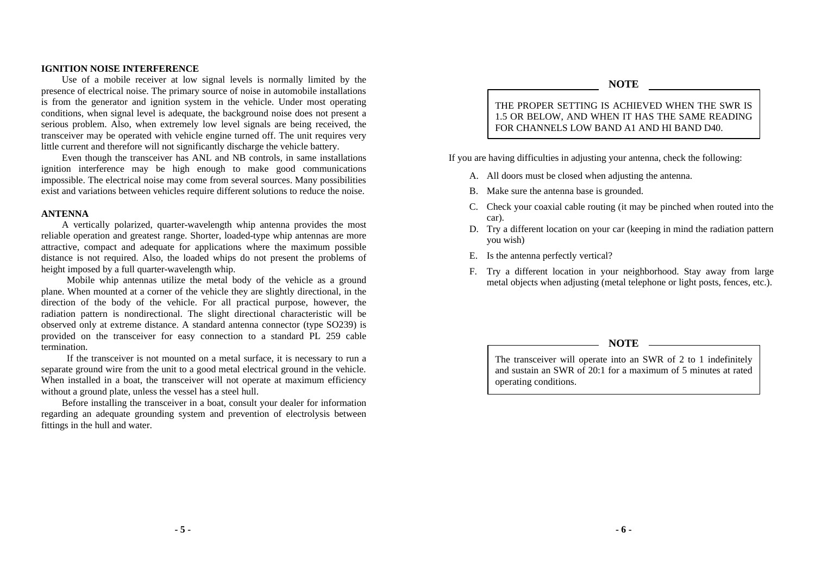#### **IGNITION NOISE INTERFERENCE**

Use of a mobile receiver at low signal levels is normally limited by the presence of electrical noise. The primary source of noise in automobile installations is from the generator and ignition system in the vehicle. Under most operating conditions, when signal level is adequate, the background noise does not present a serious problem. Also, when extremely low level signals are being received, the transceiver may be operated with vehicle engine turned off. The unit requires very little current and therefore will not significantly discharge the vehicle battery.

Even though the transceiver has ANL and NB controls, in same installations ignition interference may be high enough to make good communications impossible. The electrical noise may come from several sources. Many possibilities exist and variations between vehicles require different solutions to reduce the noise.

#### **ANTENNA**

A vertically polarized, quarter-wavelength whip antenna provides the most reliable operation and greatest range. Shorter, loaded-type whip antennas are more attractive, compact and adequate for applications where the maximum possible distance is not required. Also, the loaded whips do not present the problems of height imposed by a full quarter-wavelength whip.

 Mobile whip antennas utilize the metal body of the vehicle as a ground plane. When mounted at a corner of the vehicle they are slightly directional, in the direction of the body of the vehicle. For all practical purpose, however, the radiation pattern is nondirectional. The slight directional characteristic will be observed only at extreme distance. A standard antenna connector (type SO239) is provided on the transceiver for easy connection to a standard PL 259 cable termination.

 If the transceiver is not mounted on a metal surface, it is necessary to run a separate ground wire from the unit to a good metal electrical ground in the vehicle. When installed in a boat, the transceiver will not operate at maximum efficiency without a ground plate, unless the vessel has a steel hull.

Before installing the transceiver in a boat, consult your dealer for information regarding an adequate grounding system and prevention of electrolysis between fittings in the hull and water.

#### **NOTE**

THE PROPER SETTING IS ACHIEVED WHEN THE SWR IS 1.5 OR BELOW, AND WHEN IT HAS THE SAME READING FOR CHANNELS LOW BAND A1 AND HI BAND D40.

If you are having difficulties in adjusting your antenna, check the following:

- A. All doors must be closed when adjusting the antenna.
- B. Make sure the antenna base is grounded.
- C. Check your coaxial cable routing (it may be pinched when routed into the car).
- D. Try a different location on your car (keeping in mind the radiation pattern you wish)
- E. Is the antenna perfectly vertical?
- F. Try a different location in your neighborhood. Stay away from large metal objects when adjusting (metal telephone or light posts, fences, etc.).

#### **NOTE**

The transceiver will operate into an SWR of 2 to 1 indefinitely and sustain an SWR of 20:1 for a maximum of 5 minutes at rated operating conditions.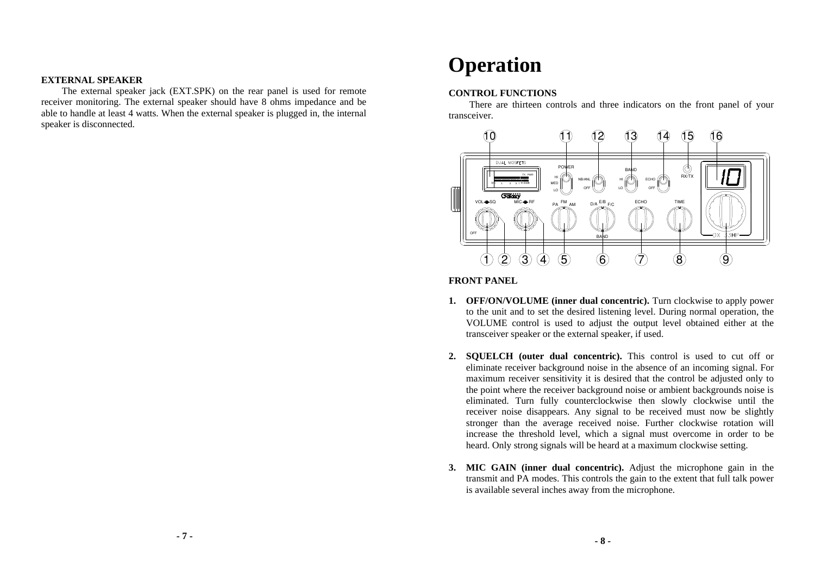#### **EXTERNAL SPEAKER**

The external speaker jack (EXT.SPK) on the rear panel is used for remote receiver monitoring. The external speaker should have 8 ohms impedance and be able to handle at least 4 watts. When the external speaker is plugged in, the internal speaker is disconnected.

## **Operation**

#### **CONTROL FUNCTIONS**

There are thirteen controls and three indicators on the front panel of your transceiver.



**FRONT PANEL**

- **1. OFF/ON/VOLUME (inner dual concentric).** Turn clockwise to apply power to the unit and to set the desired listening level. During normal operation, the VOLUME control is used to adjust the output level obtained either at the transceiver speaker or the external speaker, if used.
- **2. SQUELCH (outer dual concentric).** This control is used to cut off or eliminate receiver background noise in the absence of an incoming signal. For maximum receiver sensitivity it is desired that the control be adjusted only to the point where the receiver background noise or ambient backgrounds noise is eliminated. Turn fully counterclockwise then slowly clockwise until the receiver noise disappears. Any signal to be received must now be slightly stronger than the average received noise. Further clockwise rotation will increase the threshold level, which a signal must overcome in order to be heard. Only strong signals will be heard at a maximum clockwise setting.
- **3. MIC GAIN (inner dual concentric).** Adjust the microphone gain in the transmit and PA modes. This controls the gain to the extent that full talk power is available several inches away from the microphone.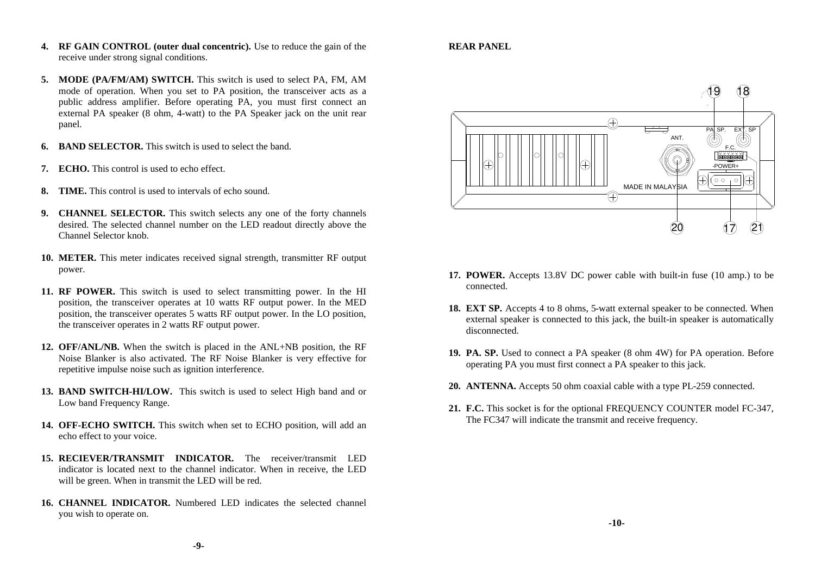- **4. RF GAIN CONTROL (outer dual concentric).** Use to reduce the gain of the receive under strong signal conditions.
- **5. MODE (PA/FM/AM) SWITCH.** This switch is used to select PA, FM, AM mode of operation. When you set to PA position, the transceiver acts as a public address amplifier. Before operating PA, you must first connect an external PA speaker (8 ohm, 4-watt) to the PA Speaker jack on the unit rear panel.
- **6. BAND SELECTOR.** This switch is used to select the band.
- **7. ECHO.** This control is used to echo effect.
- **8. TIME.** This control is used to intervals of echo sound.
- **9. CHANNEL SELECTOR.** This switch selects any one of the forty channels desired. The selected channel number on the LED readout directly above the Channel Selector knob.
- **10. METER.** This meter indicates received signal strength, transmitter RF output power.
- **11. RF POWER.** This switch is used to select transmitting power. In the HI position, the transceiver operates at 10 watts RF output power. In the MED position, the transceiver operates 5 watts RF output power. In the LO position, the transceiver operates in 2 watts RF output power.
- **12. OFF/ANL/NB.** When the switch is placed in the ANL+NB position, the RF Noise Blanker is also activated. The RF Noise Blanker is very effective for repetitive impulse noise such as ignition interference.
- **13. BAND SWITCH-HI/LOW.** This switch is used to select High band and or Low band Frequency Range.
- **14. OFF-ECHO SWITCH.** This switch when set to ECHO position, will add an echo effect to your voice.
- **15. RECIEVER/TRANSMIT INDICATOR.** The receiver/transmit LED indicator is located next to the channel indicator. When in receive, the LED will be green. When in transmit the LED will be red.
- **16. CHANNEL INDICATOR.** Numbered LED indicates the selected channel you wish to operate on.

#### **REAR PANEL**



- **17. POWER.** Accepts 13.8V DC power cable with built-in fuse (10 amp.) to be connected.
- **18. EXT SP.** Accepts 4 to 8 ohms, 5-watt external speaker to be connected. When external speaker is connected to this jack, the built-in speaker is automatically disconnected.
- **19. PA. SP.** Used to connect a PA speaker (8 ohm 4W) for PA operation. Before operating PA you must first connect a PA speaker to this jack.
- **20. ANTENNA.** Accepts 50 ohm coaxial cable with a type PL-259 connected.
- **21. F.C.** This socket is for the optional FREQUENCY COUNTER model FC-347, The FC347 will indicate the transmit and receive frequency.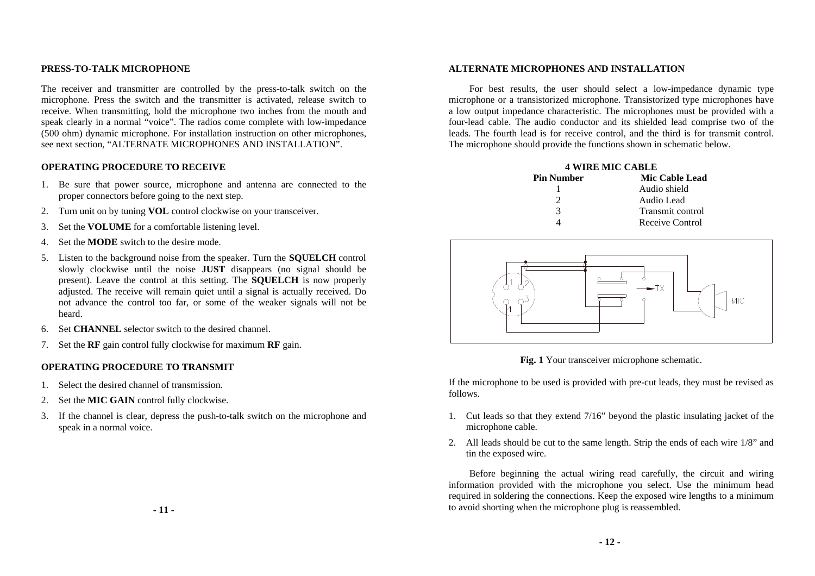#### **PRESS-TO-TALK MICROPHONE**

The receiver and transmitter are controlled by the press-to-talk switch on the microphone. Press the switch and the transmitter is activated, release switch to receive. When transmitting, hold the microphone two inches from the mouth and speak clearly in a normal "voice". The radios come complete with low-impedance (500 ohm) dynamic microphone. For installation instruction on other microphones, see next section, "ALTERNATE MICROPHONES AND INSTALLATION".

#### **OPERATING PROCEDURE TO RECEIVE**

- 1. Be sure that power source, microphone and antenna are connected to the proper connectors before going to the next step.
- 2. Turn unit on by tuning **VOL** control clockwise on your transceiver.
- 3. Set the **VOLUME** for a comfortable listening level.
- 4. Set the **MODE** switch to the desire mode.
- 5. Listen to the background noise from the speaker. Turn the **SQUELCH** control slowly clockwise until the noise **JUST** disappears (no signal should be present). Leave the control at this setting. The **SQUELCH** is now properly adjusted. The receive will remain quiet until a signal is actually received. Do not advance the control too far, or some of the weaker signals will not be heard.
- 6. Set **CHANNEL** selector switch to the desired channel.
- 7. Set the **RF** gain control fully clockwise for maximum **RF** gain.

#### **OPERATING PROCEDURE TO TRANSMIT**

- 1. Select the desired channel of transmission.
- 2. Set the **MIC GAIN** control fully clockwise.
- 3. If the channel is clear, depress the push-to-talk switch on the microphone and speak in a normal voice.

#### **ALTERNATE MICROPHONES AND INSTALLATION**

For best results, the user should select a low-impedance dynamic type microphone or a transistorized microphone. Transistorized type microphones have a low output impedance characteristic. The microphones must be provided with a four-lead cable. The audio conductor and its shielded lead comprise two of the leads. The fourth lead is for receive control, and the third is for transmit control. The microphone should provide the functions shown in schematic below.

| <b>4 WIRE MIC CABLE</b> |                       |  |
|-------------------------|-----------------------|--|
| <b>Pin Number</b>       | <b>Mic Cable Lead</b> |  |
|                         | Audio shield          |  |
|                         | Audio Lead            |  |
| 3                       | Transmit control      |  |
|                         | Receive Control       |  |



**Fig. 1** Your transceiver microphone schematic.

If the microphone to be used is provided with pre-cut leads, they must be revised as follows.

- 1. Cut leads so that they extend 7/16" beyond the plastic insulating jacket of the microphone cable.
- 2. All leads should be cut to the same length. Strip the ends of each wire 1/8" and tin the exposed wire.

Before beginning the actual wiring read carefully, the circuit and wiring information provided with the microphone you select. Use the minimum head required in soldering the connections. Keep the exposed wire lengths to a minimum to avoid shorting when the microphone plug is reassembled.